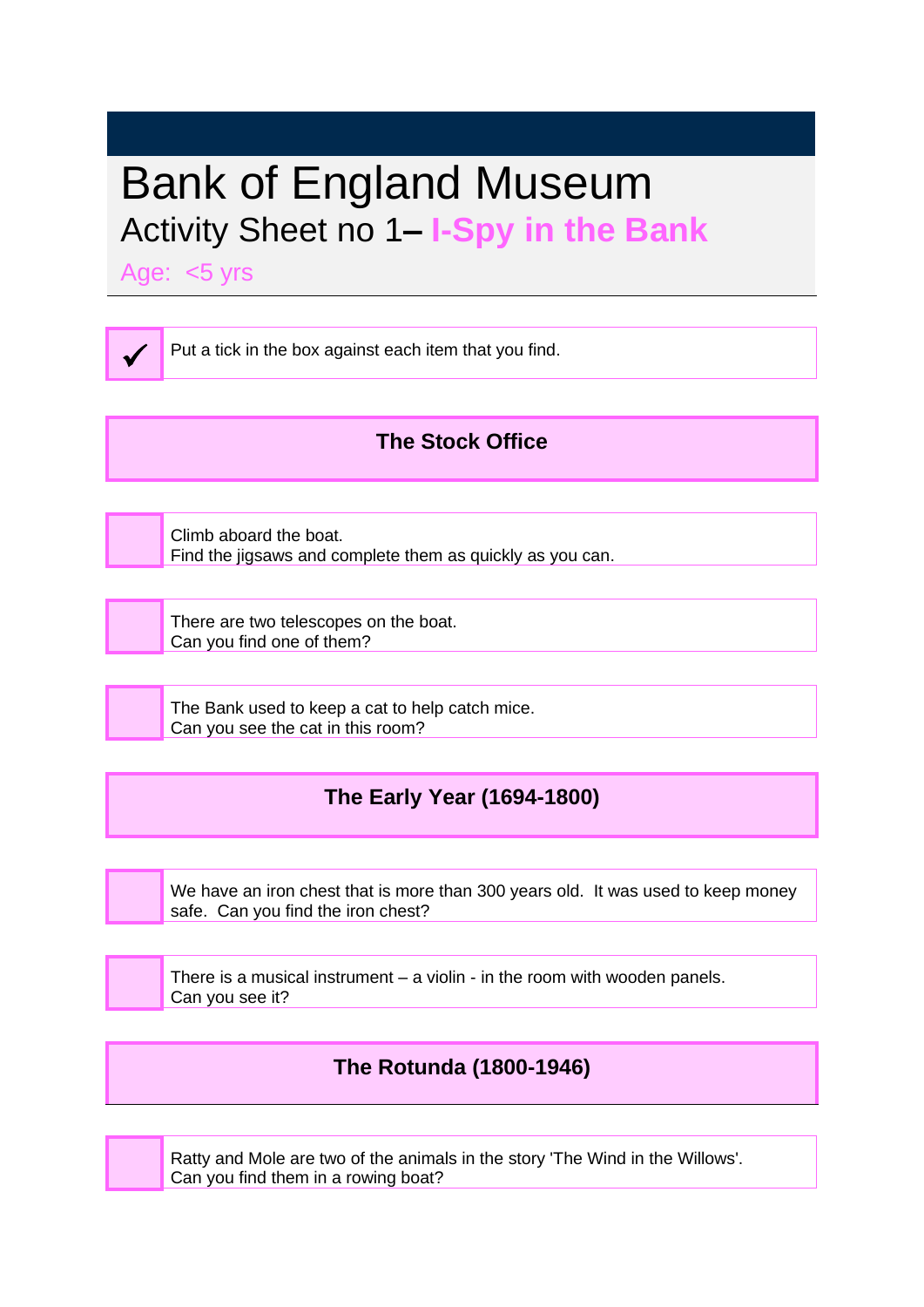# Bank of England Museum Activity Sheet no 1**– I-Spy in the Bank**

Age: <5 yrs

✓

Put a tick in the box against each item that you find.

## **The Stock Office**

Climb aboard the boat. Find the jigsaws and complete them as quickly as you can.

There are two telescopes on the boat. Can you find one of them?

The Bank used to keep a cat to help catch mice. Can you see the cat in this room?

## **The Early Year (1694-1800)**

We have an iron chest that is more than 300 years old. It was used to keep money safe. Can you find the iron chest?

There is a musical instrument – a violin - in the room with wooden panels. Can you see it?

### **The Rotunda (1800-1946)**

Ratty and Mole are two of the animals in the story 'The Wind in the Willows'. Can you find them in a rowing boat?